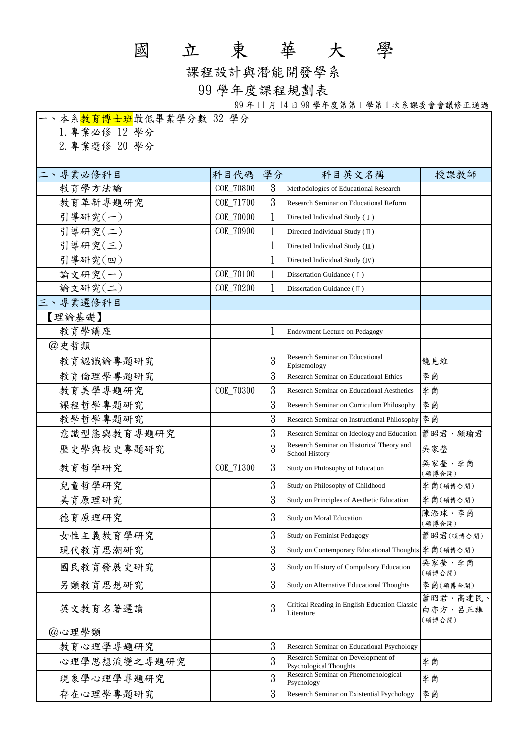## 國 立 東 華 大 學

課程設計與潛能開發學系

## 99 學年度課程規劃表

99 年 11 月 14 日 99 學年度第第 1 學第 1 次系課委會會議修正通過

| 一、本系 <mark>教育博士班</mark> 最低畢業學分數 32 學分 |           |              |                                                              |                               |
|---------------------------------------|-----------|--------------|--------------------------------------------------------------|-------------------------------|
| 1. 專業必修 12 學分                         |           |              |                                                              |                               |
| 2. 專業選修 20 學分                         |           |              |                                                              |                               |
|                                       |           |              |                                                              |                               |
| 二、專業必修科目                              | 科目代碼      | 學分           | 科目英文名稱                                                       | 授課教師                          |
| 教育學方法論                                | COE_70800 | 3            | Methodologies of Educational Research                        |                               |
| 教育革新專題研究                              | COE_71700 | 3            | Research Seminar on Educational Reform                       |                               |
| 引導研究(一)                               | COE_70000 | 1            | Directed Individual Study (I)                                |                               |
| 引導研究(二)                               | COE_70900 | 1            | Directed Individual Study $(II)$                             |                               |
| 引導研究(三)                               |           | $\mathbf{1}$ | Directed Individual Study (III)                              |                               |
| 引導研究(四)                               |           | 1            | Directed Individual Study (IV)                               |                               |
| 論文研究(一)                               | COE_70100 |              | Dissertation Guidance (I)                                    |                               |
| 論文研究(二)                               | COE_70200 | 1            | Dissertation Guidance (II)                                   |                               |
| 三、專業選修科目                              |           |              |                                                              |                               |
| 【理論基礎】                                |           |              |                                                              |                               |
| 教育學講座                                 |           | 1            | <b>Endowment Lecture on Pedagogy</b>                         |                               |
| @史哲類                                  |           |              |                                                              |                               |
| 教育認識論專題研究                             |           | 3            | <b>Research Seminar on Educational</b><br>Epistemology       | 饒見維                           |
| 教育倫理學專題研究                             |           | 3            | <b>Research Seminar on Educational Ethics</b>                | 李崗                            |
| 教育美學專題研究                              | COE_70300 | 3            | Research Seminar on Educational Aesthetics                   | 李崗                            |
| 課程哲學專題研究                              |           | 3            | Research Seminar on Curriculum Philosophy                    | 李崗                            |
| 教學哲學專題研究                              |           | 3            | Research Seminar on Instructional Philosophy                 | 李崗                            |
| 意識型態與教育專題研究                           |           | 3            | Research Seminar on Ideology and Education                   | 蕭昭君、顧瑜君                       |
| 歷史學與校史專題研究                            |           | 3            | Research Seminar on Historical Theory and<br>School History  | 吳家瑩                           |
| 教育哲學研究                                | COE_71300 | 3            | Study on Philosophy of Education                             | 吳家瑩、李崗<br>(碩博合開)              |
| 兒童哲學研究                                |           | 3            | Study on Philosophy of Childhood                             | 李崗(碩博合開)                      |
| 美育原理研究                                |           | 3            | Study on Principles of Aesthetic Education                   | 李崗(碩博合開)                      |
| 德育原理研究                                |           | 3            | Study on Moral Education                                     | 陳添球、李崗<br>(碩博合開)              |
| 女性主義教育學研究                             |           | 3            | Study on Feminist Pedagogy                                   | 蕭昭君(碩博合開)                     |
| 現代教育思潮研究                              |           | 3            | Study on Contemporary Educational Thoughts                   | 李崗(碩博合開)                      |
| 國民教育發展史研究                             |           | 3            | Study on History of Compulsory Education                     | 吳家瑩、李崗<br>(碩博合開)              |
| 另類教育思想研究                              |           | 3            | Study on Alternative Educational Thoughts                    | 李崗(碩博合開)                      |
| 英文教育名著選讀                              |           | 3            | Critical Reading in English Education Classic<br>Literature  | 蕭昭君、高建民、<br>白亦方、呂正雄<br>(碩博合開) |
| @心理學類                                 |           |              |                                                              |                               |
| 教育心理學專題研究                             |           | 3            | Research Seminar on Educational Psychology                   |                               |
| 心理學思想流變之專題研究                          |           | 3            | Research Seminar on Development of<br>Psychological Thoughts | 李崗                            |
| 現象學心理學專題研究                            |           | 3            | Research Seminar on Phenomenological<br>Psychology           | 李崗                            |
| 存在心理學專題研究                             |           | 3            | <b>Research Seminar on Existential Psychology</b>            | 李崗                            |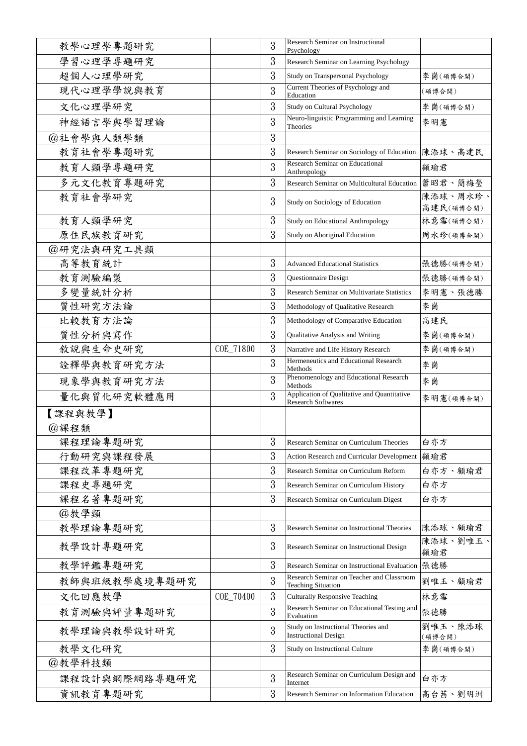| 教學心理學專題研究     |           | 3 | <b>Research Seminar on Instructional</b><br>Psychology                   |                       |
|---------------|-----------|---|--------------------------------------------------------------------------|-----------------------|
| 學習心理學專題研究     |           | 3 | Research Seminar on Learning Psychology                                  |                       |
| 超個人心理學研究      |           | 3 | Study on Transpersonal Psychology                                        | 李崗(碩博合開)              |
| 現代心理學學說與教育    |           | 3 | Current Theories of Psychology and<br>Education                          | (碩博合開)                |
| 文化心理學研究       |           | 3 | Study on Cultural Psychology                                             | 李崗(碩博合開)              |
| 神經語言學與學習理論    |           | 3 | Neuro-linguistic Programming and Learning<br>Theories                    | 李明憲                   |
| @社會學與人類學類     |           | 3 |                                                                          |                       |
| 教育社會學專題研究     |           | 3 | Research Seminar on Sociology of Education                               | 陳添球、高建民               |
| 教育人類學專題研究     |           | 3 | <b>Research Seminar on Educational</b><br>Anthropology                   | 顧瑜君                   |
| 多元文化教育專題研究    |           | 3 | Research Seminar on Multicultural Education   蕭昭君、簡梅瑩                    |                       |
| 教育社會學研究       |           | 3 | Study on Sociology of Education                                          | 陳添球、周水珍、<br>高建民(碩博合開) |
| 教育人類學研究       |           | 3 | Study on Educational Anthropology                                        | 林意雪(碩博合開)             |
| 原住民族教育研究      |           | 3 | Study on Aboriginal Education                                            | 周水珍(碩博合開)             |
| @研究法與研究工具類    |           |   |                                                                          |                       |
| 高等教育統計        |           | 3 | <b>Advanced Educational Statistics</b>                                   | 張德勝(碩博合開)             |
| 教育測驗編製        |           | 3 | Questionnaire Design                                                     | 張德勝(碩博合開)             |
| 多變量統計分析       |           | 3 | <b>Research Seminar on Multivariate Statistics</b>                       | 李明憲、張德勝               |
| 質性研究方法論       |           | 3 | Methodology of Qualitative Research                                      | 李崗                    |
| 比較教育方法論       |           | 3 | Methodology of Comparative Education                                     | 高建民                   |
| 質性分析與寫作       |           | 3 | Qualitative Analysis and Writing                                         | 李崗(碩博合開)              |
| 敘說與生命史研究      | COE_71800 | 3 | Narrative and Life History Research                                      | 李崗(碩博合開)              |
| 詮釋學與教育研究方法    |           | 3 | Hermeneutics and Educational Research<br>Methods                         | 李崗                    |
| 現象學與教育研究方法    |           | 3 | Phenomenology and Educational Research<br>Methods                        | 李崗                    |
| 量化與質化研究軟體應用   |           | 3 | Application of Qualitative and Quantitative<br><b>Research Softwares</b> | 李明憲(碩博合開)             |
| 【課程與教學】       |           |   |                                                                          |                       |
| @課程類          |           |   |                                                                          |                       |
| 課程理論專題研究      |           | 3 | Research Seminar on Curriculum Theories                                  | 白亦方                   |
| 行動研究與課程發展     |           | 3 | Action Research and Curricular Development   顧瑜君                         |                       |
| 課程改革專題研究      |           | 3 | Research Seminar on Curriculum Reform                                    | 白亦方、顧瑜君               |
| 課程史專題研究       |           | 3 | Research Seminar on Curriculum History                                   | 白亦方                   |
| 課程名著專題研究      |           | 3 | Research Seminar on Curriculum Digest                                    | 白亦方                   |
| @教學類          |           |   |                                                                          |                       |
| 教學理論專題研究      |           | 3 | <b>Research Seminar on Instructional Theories</b>                        | 陳添球、顧瑜君               |
| 教學設計專題研究      |           | 3 | Research Seminar on Instructional Design                                 | 陳添球、劉唯玉、<br>顧瑜君       |
| 教學評鑑專題研究      |           | 3 | Research Seminar on Instructional Evaluation   張德勝                       |                       |
| 教師與班級教學處境專題研究 |           | 3 | Research Seminar on Teacher and Classroom<br><b>Teaching Situation</b>   | 劉唯玉、顧瑜君               |
| 文化回應教學        | COE_70400 | 3 | <b>Culturally Responsive Teaching</b>                                    | 林意雪                   |
| 教育測驗與評量專題研究   |           | 3 | Research Seminar on Educational Testing and<br>Evaluation                | 張德勝                   |
| 教學理論與教學設計研究   |           | 3 | Study on Instructional Theories and<br><b>Instructional Design</b>       | 劉唯玉、陳添球<br>(碩博合開)     |
| 教學文化研究        |           | 3 | Study on Instructional Culture                                           | 李崗(碩博合開)              |
| @教學科技類        |           |   |                                                                          |                       |
| 課程設計與網際網路專題研究 |           | 3 | Research Seminar on Curriculum Design and<br>Internet                    | 白亦方                   |
| 資訊教育專題研究      |           | 3 | Research Seminar on Information Education                                | 高台茜、劉明洲               |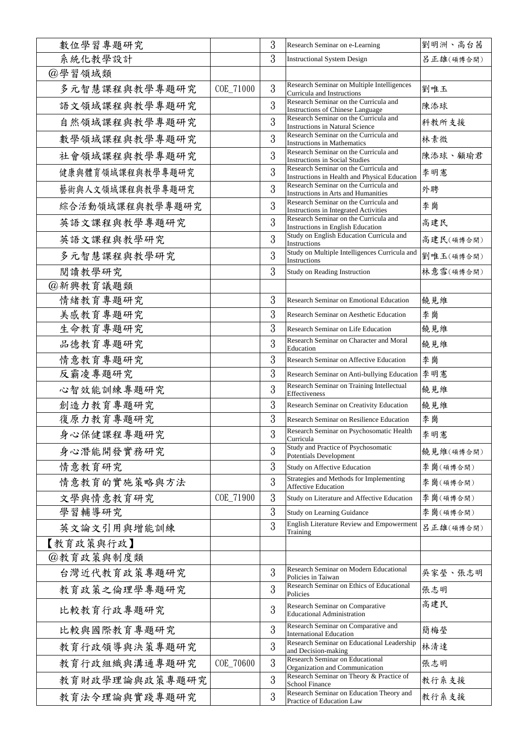| 數位學習專題研究         |           | 3             | Research Seminar on e-Learning                                                         | 劉明洲、高台茜   |
|------------------|-----------|---------------|----------------------------------------------------------------------------------------|-----------|
| 系統化教學設計          |           | 3             | <b>Instructional System Design</b>                                                     | 呂正雄(碩博合開) |
| @學習領域類           |           |               |                                                                                        |           |
| 多元智慧課程與教學專題研究    | COE_71000 | 3             | Research Seminar on Multiple Intelligences<br>Curricula and Instructions               | 劉唯玉       |
| 語文領域課程與教學專題研究    |           | 3             | Research Seminar on the Curricula and<br><b>Instructions of Chinese Language</b>       | 陳添球       |
| 自然領域課程與教學專題研究    |           | 3             | Research Seminar on the Curricula and<br><b>Instructions in Natural Science</b>        | 科教所支援     |
| 數學領域課程與教學專題研究    |           | 3             | Research Seminar on the Curricula and<br><b>Instructions in Mathematics</b>            | 林素微       |
| 社會領域課程與教學專題研究    |           | 3             | Research Seminar on the Curricula and<br><b>Instructions in Social Studies</b>         | 陳添球、顧瑜君   |
| 健康與體育領域課程與教學專題研究 |           | 3             | Research Seminar on the Curricula and<br>Instructions in Health and Physical Education | 李明憲       |
| 藝術與人文領域課程與教學專題研究 |           | 3             | Research Seminar on the Curricula and<br><b>Instructions in Arts and Humanities</b>    | 外聘        |
| 綜合活動領域課程與教學專題研究  |           | 3             | Research Seminar on the Curricula and<br><b>Instructions in Integrated Activities</b>  | 李崗        |
| 英語文課程與教學專題研究     |           | 3             | Research Seminar on the Curricula and<br><b>Instructions in English Education</b>      | 高建民       |
| 英語文課程與教學研究       |           | 3             | Study on English Education Curricula and<br>Instructions                               | 高建民(碩博合開) |
| 多元智慧課程與教學研究      |           | 3             | Study on Multiple Intelligences Curricula and<br>Instructions                          | 劉唯玉(碩博合開) |
| 閱讀教學研究           |           | 3             | Study on Reading Instruction                                                           | 林意雪(碩博合開) |
| @新興教育議題類         |           |               |                                                                                        |           |
| 情緒教育專題研究         |           | 3             | <b>Research Seminar on Emotional Education</b>                                         | 饒見維       |
| 美感教育專題研究         |           | 3             | Research Seminar on Aesthetic Education                                                | 李崗        |
| 生命教育專題研究         |           | 3             | Research Seminar on Life Education                                                     | 饒見維       |
| 品德教育專題研究         |           | 3             | Research Seminar on Character and Moral<br>Education                                   | 饒見維       |
| 情意教育專題研究         |           | 3             | Research Seminar on Affective Education                                                | 李崗        |
| 反霸凌專題研究          |           | 3             | Research Seminar on Anti-bullying Education                                            | 李明憲       |
| 心智效能訓練專題研究       |           | 3             | Research Seminar on Training Intellectual<br>Effectiveness                             | 饒見維       |
| 創造力教育專題研究        |           | 3             | Research Seminar on Creativity Education                                               | 饒見維       |
| 復原力教育專題研究        |           | 3             | Research Seminar on Resilience Education                                               | 李崗        |
| 身心保健課程專題研究       |           | $\Omega$<br>Ū | Research Seminar on Psychosomatic Health<br>Curricula                                  | 李明憲       |
| 身心潛能開發實務研究       |           | 3             | Study and Practice of Psychosomatic<br><b>Potentials Development</b>                   | 饒見維(碩博合開) |
| 情意教育研究           |           | 3             | Study on Affective Education                                                           | 李崗(碩博合開)  |
| 情意教育的實施策略與方法     |           | 3             | Strategies and Methods for Implementing<br><b>Affective Education</b>                  | 李崗(碩博合開)  |
| 文學與情意教育研究        | COE 71900 | 3             | Study on Literature and Affective Education                                            | 李崗(碩博合開)  |
| 學習輔導研究           |           | 3             | Study on Learning Guidance                                                             | 李崗(碩博合開)  |
| 英文論文引用與增能訓練      |           | 3             | English Literature Review and Empowerment<br>Training                                  | 呂正雄(碩博合開) |
| 【教育政策與行政】        |           |               |                                                                                        |           |
| @教育政策與制度類        |           |               |                                                                                        |           |
| 台灣近代教育政策專題研究     |           | 3             | Research Seminar on Modern Educational<br>Policies in Taiwan                           | 吳家瑩、張志明   |
| 教育政策之倫理學專題研究     |           | 3             | Research Seminar on Ethics of Educational<br>Policies                                  | 張志明       |
| 比較教育行政專題研究       |           | 3             | Research Seminar on Comparative<br><b>Educational Administration</b>                   | 高建民       |
| 比較與國際教育專題研究      |           | 3             | Research Seminar on Comparative and<br><b>International Education</b>                  | 簡梅瑩       |
| 教育行政領導與決策專題研究    |           | 3             | Research Seminar on Educational Leadership<br>and Decision-making                      | 林清達       |
| 教育行政組織與溝通專題研究    | COE_70600 | 3             | <b>Research Seminar on Educational</b><br>Organization and Communication               | 張志明       |
| 教育財政學理論與政策專題研究   |           | 3             | Research Seminar on Theory & Practice of<br>School Finance                             | 教行系支援     |
| 教育法令理論與實踐專題研究    |           | 3             | Research Seminar on Education Theory and<br>Practice of Education Law                  | 教行系支援     |